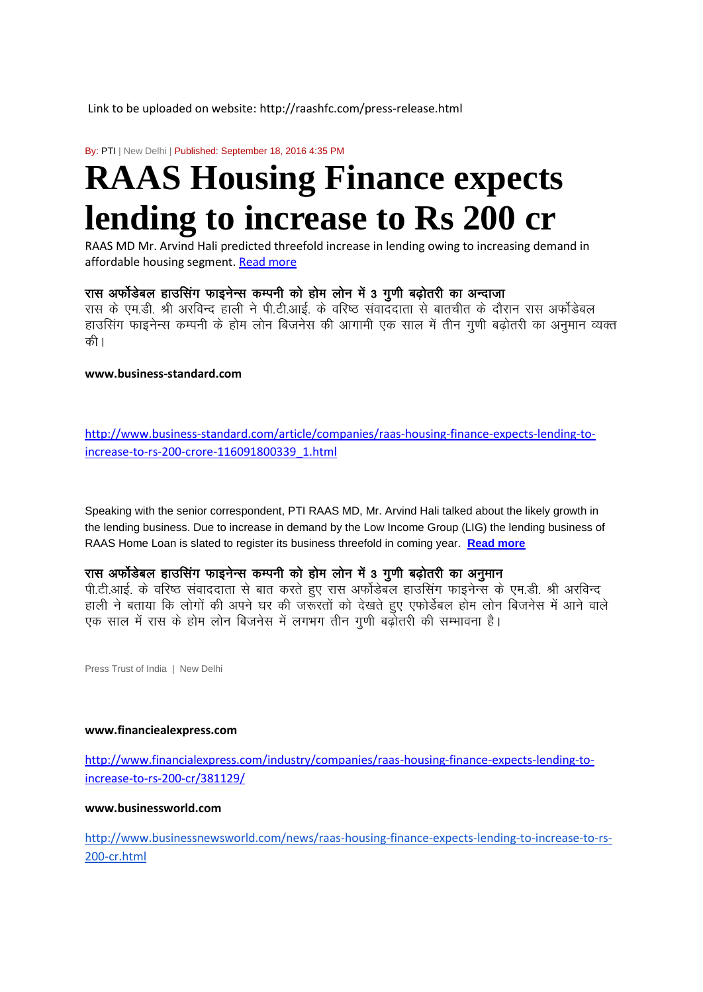Link to be uploaded on website: http://raashfc.com/press-release.html

By: PTI | New Delhi | Published: September 18, 2016 4:35 PM

# **RAAS Housing Finance expects lending to increase to Rs 200 cr**

RAAS MD Mr. Arvind Hali predicted threefold increase in lending owing to increasing demand in affordable housing segment[. Read more](http://www.business-standard.com/article/companies/raas-housing-finance-expects-lending-to-increase-to-rs-200-crore-116091800339_1.html) 

# रास अर्फोडेबल हाउसिंग फाइनेन्स कम्पनी को होम लोन में 3 गुणी बढोतरी का अन्दाजा

रास के एम.डी. श्री अरविन्द हाली ने पी.टी.आई. के वरिष्ठ संवाददाता से बातचीत के दौरान रास अर्फोडेबल हाउसिंग फाइनेन्स कम्पनी के होम लोन बिजनेस की आगामी एक साल में तीन गूणी बढोतरी का अनुमान व्यक्त की ।

**www.business-standard.com**

[http://www.business-standard.com/article/companies/raas-housing-finance-expects-lending-to](http://www.business-standard.com/article/companies/raas-housing-finance-expects-lending-to-increase-to-rs-200-crore-116091800339_1.html)[increase-to-rs-200-crore-116091800339\\_1.html](http://www.business-standard.com/article/companies/raas-housing-finance-expects-lending-to-increase-to-rs-200-crore-116091800339_1.html)

Speaking with the senior correspondent, PTI RAAS MD, Mr. Arvind Hali talked about the likely growth in the lending business. Due to increase in demand by the Low Income Group (LIG) the lending business of RAAS Home Loan is slated to register its business threefold in coming year. **[Read more](http://www.financialexpress.com/industry/companies/raas-housing-finance-expects-lending-to-increase-to-rs-200-cr/381129/)** 

## रास अर्फोडेबल हाउसिंग फाइनेन्स कम्पनी को होम लोन में 3 गुणी बढ़ोतरी का अनुमान

पी.टी.आई. के वरिष्ठ संवाददाता से बात करते हुए रास अर्फोडेबल हाउसिंग फाइनेन्स के एम.डी. श्री अरविन्द हाली ने बताया कि लोगों की अपने घर की जरूँरतों को देखते हुए एफोर्डेबल होम लोन बिजनेस में आने वाले एक साल में रास के होम लोन बिजनेस में लगभग तीन गुणी बढ़ोतरी की सम्भावना है।

Press Trust of India | New Delhi

#### **www.financiealexpress.com**

[http://www.financialexpress.com/industry/companies/raas-housing-finance-expects-lending-to](http://www.financialexpress.com/industry/companies/raas-housing-finance-expects-lending-to-increase-to-rs-200-cr/381129/)[increase-to-rs-200-cr/381129/](http://www.financialexpress.com/industry/companies/raas-housing-finance-expects-lending-to-increase-to-rs-200-cr/381129/)

**www.businessworld.com**

[http://www.businessnewsworld.com/news/raas-housing-finance-expects-lending-to-increase-to-rs-](http://www.businessnewsworld.com/news/raas-housing-finance-expects-lending-to-increase-to-rs-200-cr.html)[200-cr.html](http://www.businessnewsworld.com/news/raas-housing-finance-expects-lending-to-increase-to-rs-200-cr.html)